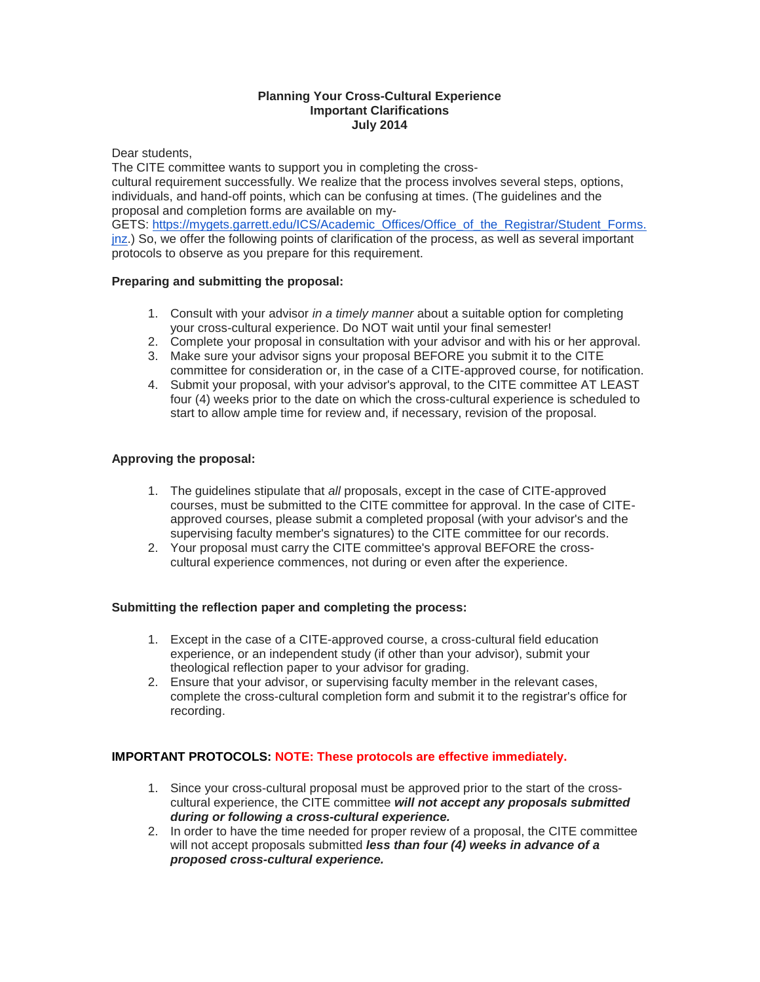#### **Planning Your Cross-Cultural Experience Important Clarifications July 2014**

Dear students,

The CITE committee wants to support you in completing the crosscultural requirement successfully. We realize that the process involves several steps, options, individuals, and hand-off points, which can be confusing at times. (The guidelines and the proposal and completion forms are available on my-

GETS: [https://mygets.garrett.edu/ICS/Academic\\_Offices/Office\\_of\\_the\\_Registrar/Student\\_Forms.](https://mygets.garrett.edu/ICS/Academic_Offices/Office_of_the_Registrar/Student_Forms.jnz) [jnz.](https://mygets.garrett.edu/ICS/Academic_Offices/Office_of_the_Registrar/Student_Forms.jnz)) So, we offer the following points of clarification of the process, as well as several important protocols to observe as you prepare for this requirement.

## **Preparing and submitting the proposal:**

- 1. Consult with your advisor *in a timely manner* about a suitable option for completing your cross-cultural experience. Do NOT wait until your final semester!
- 2. Complete your proposal in consultation with your advisor and with his or her approval.
- 3. Make sure your advisor signs your proposal BEFORE you submit it to the CITE committee for consideration or, in the case of a CITE-approved course, for notification.
- 4. Submit your proposal, with your advisor's approval, to the CITE committee AT LEAST four (4) weeks prior to the date on which the cross-cultural experience is scheduled to start to allow ample time for review and, if necessary, revision of the proposal.

## **Approving the proposal:**

- 1. The guidelines stipulate that *all* proposals, except in the case of CITE-approved courses, must be submitted to the CITE committee for approval. In the case of CITEapproved courses, please submit a completed proposal (with your advisor's and the supervising faculty member's signatures) to the CITE committee for our records.
- 2. Your proposal must carry the CITE committee's approval BEFORE the crosscultural experience commences, not during or even after the experience.

## **Submitting the reflection paper and completing the process:**

- 1. Except in the case of a CITE-approved course, a cross-cultural field education experience, or an independent study (if other than your advisor), submit your theological reflection paper to your advisor for grading.
- 2. Ensure that your advisor, or supervising faculty member in the relevant cases, complete the cross-cultural completion form and submit it to the registrar's office for recording.

## **IMPORTANT PROTOCOLS: NOTE: These protocols are effective immediately.**

- 1. Since your cross-cultural proposal must be approved prior to the start of the crosscultural experience, the CITE committee *will not accept any proposals submitted during or following a cross-cultural experience.*
- 2. In order to have the time needed for proper review of a proposal, the CITE committee will not accept proposals submitted *less than four (4) weeks in advance of a proposed cross-cultural experience.*